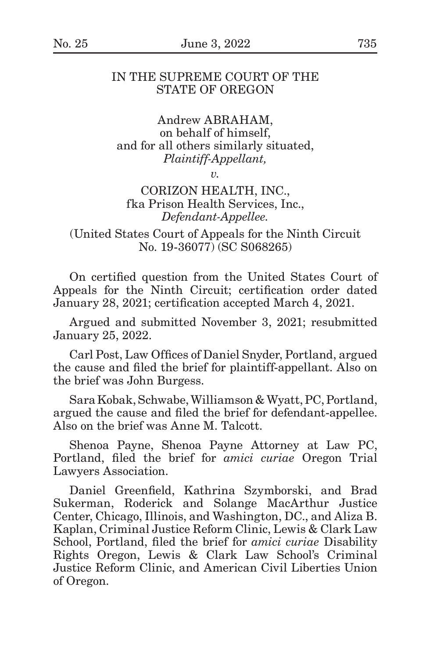# IN THE SUPREME COURT OF THE STATE OF OREGON

Andrew ABRAHAM, on behalf of himself, and for all others similarly situated, *Plaintiff-Appellant,*

*v.*

# CORIZON HEALTH, INC., fka Prison Health Services, Inc., *Defendant-Appellee.*

(United States Court of Appeals for the Ninth Circuit No. 19-36077) (SC S068265)

On certified question from the United States Court of Appeals for the Ninth Circuit; certification order dated January 28, 2021; certification accepted March 4, 2021.

Argued and submitted November 3, 2021; resubmitted January 25, 2022.

Carl Post, Law Offices of Daniel Snyder, Portland, argued the cause and filed the brief for plaintiff-appellant. Also on the brief was John Burgess.

Sara Kobak, Schwabe, Williamson & Wyatt, PC, Portland, argued the cause and filed the brief for defendant-appellee. Also on the brief was Anne M. Talcott.

Shenoa Payne, Shenoa Payne Attorney at Law PC, Portland, filed the brief for *amici curiae* Oregon Trial Lawyers Association.

Daniel Greenfield, Kathrina Szymborski, and Brad Sukerman, Roderick and Solange MacArthur Justice Center, Chicago, Illinois, and Washington, DC., and Aliza B. Kaplan, Criminal Justice Reform Clinic, Lewis & Clark Law School, Portland, filed the brief for *amici curiae* Disability Rights Oregon, Lewis & Clark Law School's Criminal Justice Reform Clinic, and American Civil Liberties Union of Oregon.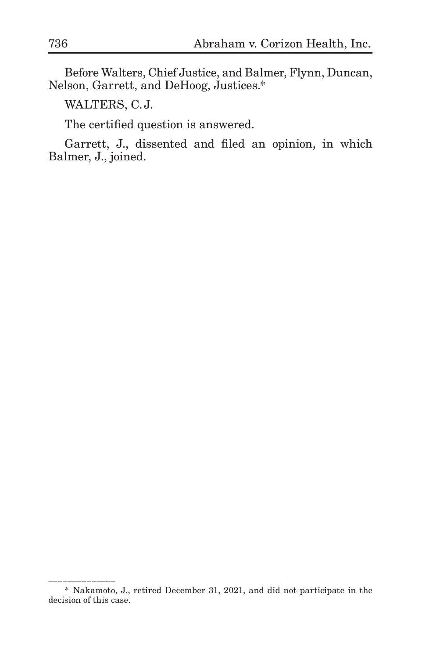Before Walters, Chief Justice, and Balmer, Flynn, Duncan, Nelson, Garrett, and DeHoog, Justices.\*

WALTERS, C.J.

\_\_\_\_\_\_\_\_\_\_\_\_\_\_\_\_\_\_\_

The certified question is answered.

Garrett, J., dissented and filed an opinion, in which Balmer, J., joined.

<sup>\*</sup> Nakamoto, J., retired December 31, 2021, and did not participate in the decision of this case.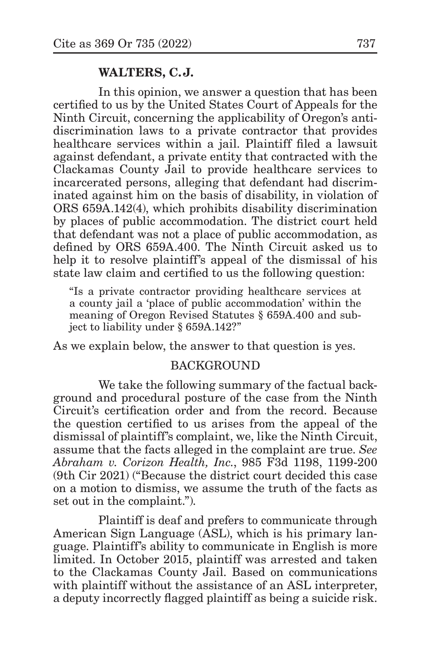### **WALTERS, C.J.**

In this opinion, we answer a question that has been certified to us by the United States Court of Appeals for the Ninth Circuit, concerning the applicability of Oregon's antidiscrimination laws to a private contractor that provides healthcare services within a jail. Plaintiff filed a lawsuit against defendant, a private entity that contracted with the Clackamas County Jail to provide healthcare services to incarcerated persons, alleging that defendant had discriminated against him on the basis of disability, in violation of ORS 659A.142(4), which prohibits disability discrimination by places of public accommodation. The district court held that defendant was not a place of public accommodation, as defined by ORS 659A.400. The Ninth Circuit asked us to help it to resolve plaintiff's appeal of the dismissal of his state law claim and certified to us the following question:

"Is a private contractor providing healthcare services at a county jail a 'place of public accommodation' within the meaning of Oregon Revised Statutes § 659A.400 and subject to liability under § 659A.142?"

As we explain below, the answer to that question is yes.

## BACKGROUND

We take the following summary of the factual background and procedural posture of the case from the Ninth Circuit's certification order and from the record. Because the question certified to us arises from the appeal of the dismissal of plaintiff's complaint, we, like the Ninth Circuit, assume that the facts alleged in the complaint are true. *See Abraham v. Corizon Health, Inc.*, 985 F3d 1198, 1199-200 (9th Cir 2021) ("Because the district court decided this case on a motion to dismiss, we assume the truth of the facts as set out in the complaint.").

Plaintiff is deaf and prefers to communicate through American Sign Language (ASL), which is his primary language. Plaintiff's ability to communicate in English is more limited. In October 2015, plaintiff was arrested and taken to the Clackamas County Jail. Based on communications with plaintiff without the assistance of an ASL interpreter, a deputy incorrectly flagged plaintiff as being a suicide risk.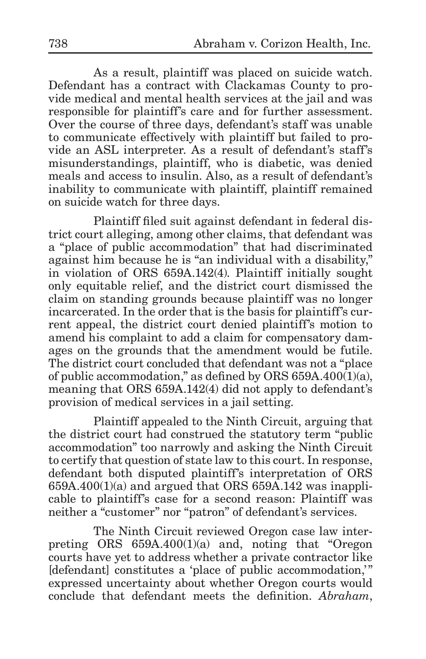As a result, plaintiff was placed on suicide watch. Defendant has a contract with Clackamas County to provide medical and mental health services at the jail and was responsible for plaintiff's care and for further assessment. Over the course of three days, defendant's staff was unable to communicate effectively with plaintiff but failed to provide an ASL interpreter. As a result of defendant's staff's misunderstandings, plaintiff, who is diabetic, was denied meals and access to insulin. Also, as a result of defendant's inability to communicate with plaintiff, plaintiff remained on suicide watch for three days.

Plaintiff filed suit against defendant in federal district court alleging, among other claims, that defendant was a "place of public accommodation" that had discriminated against him because he is "an individual with a disability," in violation of ORS 659A.142(4). Plaintiff initially sought only equitable relief, and the district court dismissed the claim on standing grounds because plaintiff was no longer incarcerated. In the order that is the basis for plaintiff's current appeal, the district court denied plaintiff's motion to amend his complaint to add a claim for compensatory damages on the grounds that the amendment would be futile. The district court concluded that defendant was not a "place of public accommodation," as defined by ORS 659A.400(1)(a), meaning that ORS 659A.142(4) did not apply to defendant's provision of medical services in a jail setting.

Plaintiff appealed to the Ninth Circuit, arguing that the district court had construed the statutory term "public accommodation" too narrowly and asking the Ninth Circuit to certify that question of state law to this court. In response, defendant both disputed plaintiff's interpretation of ORS  $659A.400(1)(a)$  and argued that ORS 659A.142 was inapplicable to plaintiff's case for a second reason: Plaintiff was neither a "customer" nor "patron" of defendant's services.

The Ninth Circuit reviewed Oregon case law interpreting ORS 659A.400(1)(a) and, noting that "Oregon courts have yet to address whether a private contractor like [defendant] constitutes a 'place of public accommodation,'" expressed uncertainty about whether Oregon courts would conclude that defendant meets the definition. *Abraham*,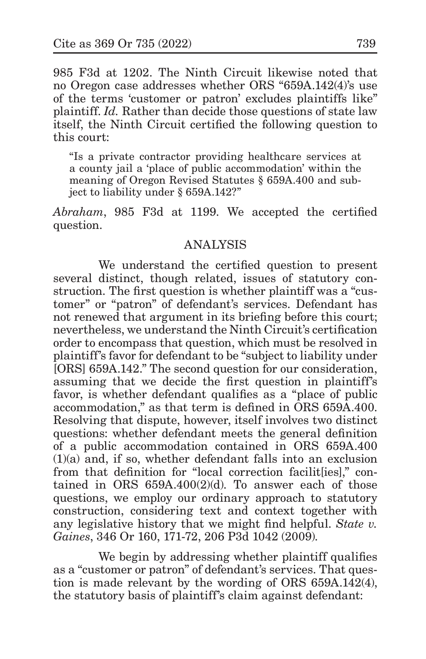985 F3d at 1202. The Ninth Circuit likewise noted that no Oregon case addresses whether ORS "659A.142(4)'s use of the terms 'customer or patron' excludes plaintiffs like" plaintiff. *Id.* Rather than decide those questions of state law itself, the Ninth Circuit certified the following question to this court:

"Is a private contractor providing healthcare services at a county jail a 'place of public accommodation' within the meaning of Oregon Revised Statutes § 659A.400 and subject to liability under § 659A.142?"

*Abraham*, 985 F3d at 1199. We accepted the certified question.

### ANALYSIS

We understand the certified question to present several distinct, though related, issues of statutory construction. The first question is whether plaintiff was a "customer" or "patron" of defendant's services. Defendant has not renewed that argument in its briefing before this court; nevertheless, we understand the Ninth Circuit's certification order to encompass that question, which must be resolved in plaintiff's favor for defendant to be "subject to liability under [ORS] 659A.142." The second question for our consideration, assuming that we decide the first question in plaintiff's favor, is whether defendant qualifies as a "place of public accommodation," as that term is defined in ORS 659A.400. Resolving that dispute, however, itself involves two distinct questions: whether defendant meets the general definition of a public accommodation contained in ORS 659A.400 (1)(a) and, if so, whether defendant falls into an exclusion from that definition for "local correction facilities]," contained in ORS  $659A.400(2)(d)$ . To answer each of those questions, we employ our ordinary approach to statutory construction, considering text and context together with any legislative history that we might find helpful. *State v. Gaines*, 346 Or 160, 171-72, 206 P3d 1042 (2009).

We begin by addressing whether plaintiff qualifies as a "customer or patron" of defendant's services. That question is made relevant by the wording of ORS 659A.142(4), the statutory basis of plaintiff's claim against defendant: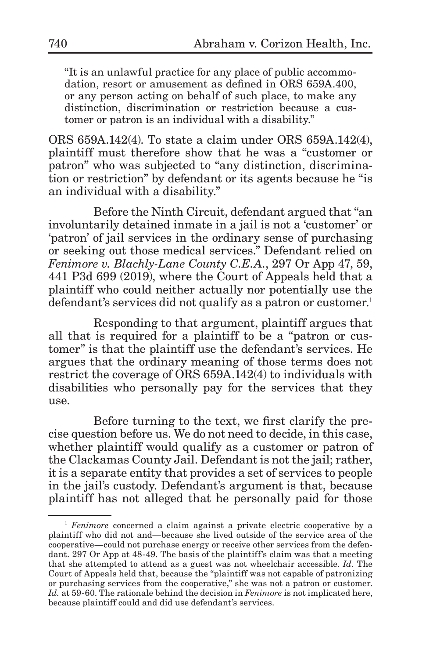"It is an unlawful practice for any place of public accommodation, resort or amusement as defined in ORS 659A.400, or any person acting on behalf of such place, to make any distinction, discrimination or restriction because a customer or patron is an individual with a disability."

ORS 659A.142(4). To state a claim under ORS 659A.142(4), plaintiff must therefore show that he was a "customer or patron" who was subjected to "any distinction, discrimination or restriction" by defendant or its agents because he "is an individual with a disability."

Before the Ninth Circuit, defendant argued that "an involuntarily detained inmate in a jail is not a 'customer' or 'patron' of jail services in the ordinary sense of purchasing or seeking out those medical services." Defendant relied on *Fenimore v. Blachly-Lane County C.E.A.*, 297 Or App 47, 59, 441 P3d 699 (2019), where the Court of Appeals held that a plaintiff who could neither actually nor potentially use the defendant's services did not qualify as a patron or customer.<sup>1</sup>

Responding to that argument, plaintiff argues that all that is required for a plaintiff to be a "patron or customer" is that the plaintiff use the defendant's services. He argues that the ordinary meaning of those terms does not restrict the coverage of ORS 659A.142(4) to individuals with disabilities who personally pay for the services that they use.

Before turning to the text, we first clarify the precise question before us. We do not need to decide, in this case, whether plaintiff would qualify as a customer or patron of the Clackamas County Jail. Defendant is not the jail; rather, it is a separate entity that provides a set of services to people in the jail's custody. Defendant's argument is that, because plaintiff has not alleged that he personally paid for those

<sup>&</sup>lt;sup>1</sup> *Fenimore* concerned a claim against a private electric cooperative by a plaintiff who did not and—because she lived outside of the service area of the cooperative—could not purchase energy or receive other services from the defendant. 297 Or App at 48-49. The basis of the plaintiff's claim was that a meeting that she attempted to attend as a guest was not wheelchair accessible. *Id*. The Court of Appeals held that, because the "plaintiff was not capable of patronizing or purchasing services from the cooperative," she was not a patron or customer. *Id.* at 59-60. The rationale behind the decision in *Fenimore* is not implicated here, because plaintiff could and did use defendant's services.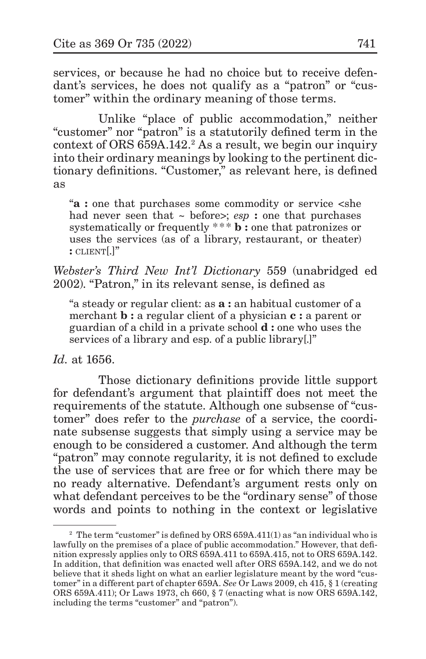services, or because he had no choice but to receive defendant's services, he does not qualify as a "patron" or "customer" within the ordinary meaning of those terms.

Unlike "place of public accommodation," neither "customer" nor "patron" is a statutorily defined term in the context of ORS 659A.142.<sup>2</sup> As a result, we begin our inquiry into their ordinary meanings by looking to the pertinent dictionary definitions. "Customer," as relevant here, is defined as

"**a :** one that purchases some commodity or service <she had never seen that ~ before>; *esp* : one that purchases systematically or frequently \*\*\* **b** : one that patronizes or uses the services (as of a library, restaurant, or theater) **:** client[.]"

*Webster's Third New Int'l Dictionary* 559 (unabridged ed 2002). "Patron," in its relevant sense, is defined as

"a steady or regular client: as **a :** an habitual customer of a merchant **b :** a regular client of a physician **c :** a parent or guardian of a child in a private school **d :** one who uses the services of a library and esp. of a public library[.]"

*Id.* at 1656.

Those dictionary definitions provide little support for defendant's argument that plaintiff does not meet the requirements of the statute. Although one subsense of "customer" does refer to the *purchase* of a service, the coordinate subsense suggests that simply using a service may be enough to be considered a customer. And although the term "patron" may connote regularity, it is not defined to exclude the use of services that are free or for which there may be no ready alternative. Defendant's argument rests only on what defendant perceives to be the "ordinary sense" of those words and points to nothing in the context or legislative

<sup>&</sup>lt;sup>2</sup> The term "customer" is defined by ORS 659A.411(1) as "an individual who is lawfully on the premises of a place of public accommodation." However, that definition expressly applies only to ORS 659A.411 to 659A.415, not to ORS 659A.142. In addition, that definition was enacted well after ORS 659A.142, and we do not believe that it sheds light on what an earlier legislature meant by the word "customer" in a different part of chapter 659A. *See* Or Laws 2009, ch 415, § 1 (creating ORS 659A.411); Or Laws 1973, ch 660, § 7 (enacting what is now ORS 659A.142, including the terms "customer" and "patron").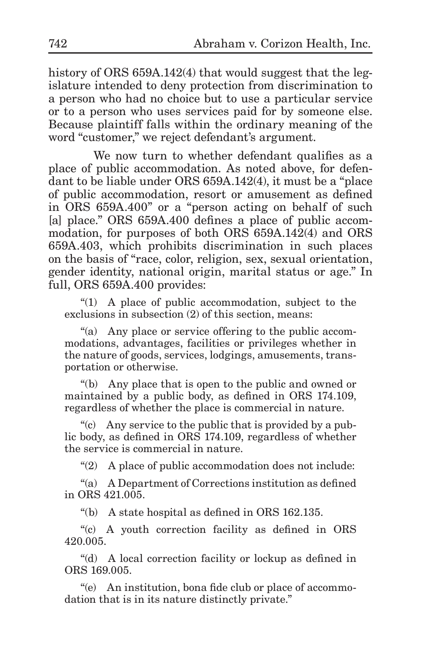history of ORS 659A.142(4) that would suggest that the legislature intended to deny protection from discrimination to a person who had no choice but to use a particular service or to a person who uses services paid for by someone else. Because plaintiff falls within the ordinary meaning of the word "customer," we reject defendant's argument.

We now turn to whether defendant qualifies as a place of public accommodation. As noted above, for defendant to be liable under ORS 659A.142(4), it must be a "place of public accommodation, resort or amusement as defined in ORS 659A.400" or a "person acting on behalf of such [a] place." ORS 659A.400 defines a place of public accommodation, for purposes of both ORS 659A.142(4) and ORS 659A.403, which prohibits discrimination in such places on the basis of "race, color, religion, sex, sexual orientation, gender identity, national origin, marital status or age." In full, ORS 659A.400 provides:

"(1) A place of public accommodation, subject to the exclusions in subsection (2) of this section, means:

"(a) Any place or service offering to the public accommodations, advantages, facilities or privileges whether in the nature of goods, services, lodgings, amusements, transportation or otherwise.

"(b) Any place that is open to the public and owned or maintained by a public body, as defined in ORS 174.109, regardless of whether the place is commercial in nature.

"(c) Any service to the public that is provided by a public body, as defined in ORS 174.109, regardless of whether the service is commercial in nature.

"(2) A place of public accommodation does not include:

"(a) A Department of Corrections institution as defined in ORS  $421.005$ .

"(b) A state hospital as defined in ORS 162.135.

"(c) A youth correction facility as defined in ORS 420.005.

"(d) A local correction facility or lockup as defined in ORS 169.005.

"(e) An institution, bona fide club or place of accommodation that is in its nature distinctly private."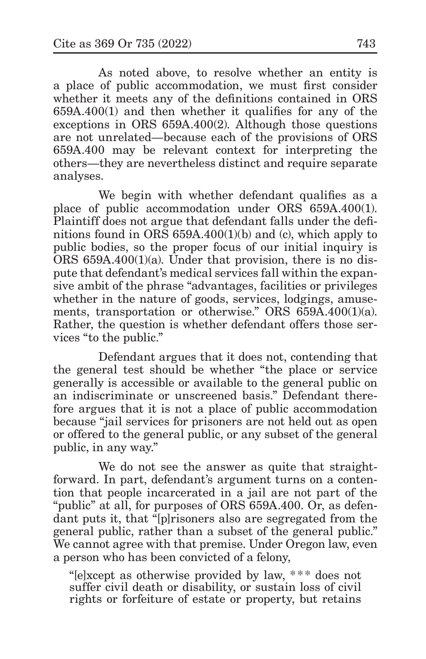As noted above, to resolve whether an entity is a place of public accommodation, we must first consider whether it meets any of the definitions contained in ORS 659A.400(1) and then whether it qualifies for any of the exceptions in ORS 659A.400(2). Although those questions are not unrelated—because each of the provisions of ORS 659A.400 may be relevant context for interpreting the others—they are nevertheless distinct and require separate analyses.

We begin with whether defendant qualifies as a place of public accommodation under ORS 659A.400(1). Plaintiff does not argue that defendant falls under the definitions found in ORS 659A.400(1)(b) and (c), which apply to public bodies, so the proper focus of our initial inquiry is ORS  $659A.400(1)(a)$ . Under that provision, there is no dispute that defendant's medical services fall within the expansive ambit of the phrase "advantages, facilities or privileges whether in the nature of goods, services, lodgings, amusements, transportation or otherwise." ORS 659A.400(1)(a). Rather, the question is whether defendant offers those services "to the public."

Defendant argues that it does not, contending that the general test should be whether "the place or service generally is accessible or available to the general public on an indiscriminate or unscreened basis." Defendant therefore argues that it is not a place of public accommodation because "jail services for prisoners are not held out as open or offered to the general public, or any subset of the general public, in any way."

We do not see the answer as quite that straightforward. In part, defendant's argument turns on a contention that people incarcerated in a jail are not part of the "public" at all, for purposes of ORS 659A.400. Or, as defendant puts it, that "[p]risoners also are segregated from the general public, rather than a subset of the general public." We cannot agree with that premise. Under Oregon law, even a person who has been convicted of a felony,

"[e]xcept as otherwise provided by law, \*\*\* does not suffer civil death or disability, or sustain loss of civil rights or forfeiture of estate or property, but retains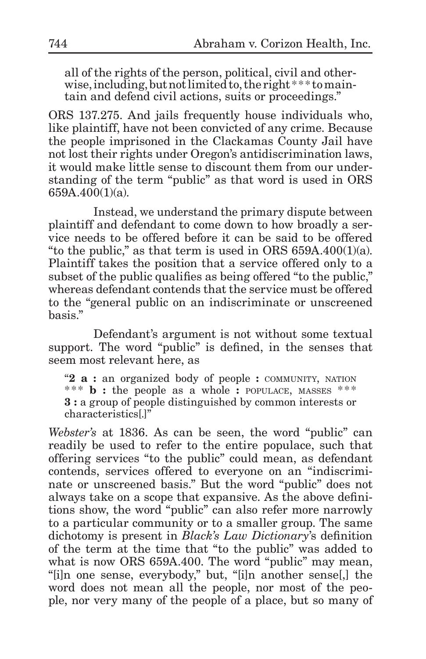all of the rights of the person, political, civil and otherwise, including, but not limited to, the right \*\*\* to maintain and defend civil actions, suits or proceedings."

ORS 137.275. And jails frequently house individuals who, like plaintiff, have not been convicted of any crime. Because the people imprisoned in the Clackamas County Jail have not lost their rights under Oregon's antidiscrimination laws, it would make little sense to discount them from our understanding of the term "public" as that word is used in ORS 659A.400(1)(a).

Instead, we understand the primary dispute between plaintiff and defendant to come down to how broadly a service needs to be offered before it can be said to be offered "to the public," as that term is used in ORS  $659A.400(1)(a)$ . Plaintiff takes the position that a service offered only to a subset of the public qualifies as being offered "to the public," whereas defendant contends that the service must be offered to the "general public on an indiscriminate or unscreened basis."

Defendant's argument is not without some textual support. The word "public" is defined, in the senses that seem most relevant here, as

"**2 a :** an organized body of people **:** community, nation \*\*\* **b** : the people as a whole **:** POPULACE, MASSES \*\*\* **3 :** a group of people distinguished by common interests or characteristics[.]"

*Webster's* at 1836. As can be seen, the word "public" can readily be used to refer to the entire populace, such that offering services "to the public" could mean, as defendant contends, services offered to everyone on an "indiscriminate or unscreened basis." But the word "public" does not always take on a scope that expansive. As the above definitions show, the word "public" can also refer more narrowly to a particular community or to a smaller group. The same dichotomy is present in *Black's Law Dictionary*'s definition of the term at the time that "to the public" was added to what is now ORS 659A.400. The word "public" may mean, "[i]n one sense, everybody," but, "[i]n another sense[,] the word does not mean all the people, nor most of the people, nor very many of the people of a place, but so many of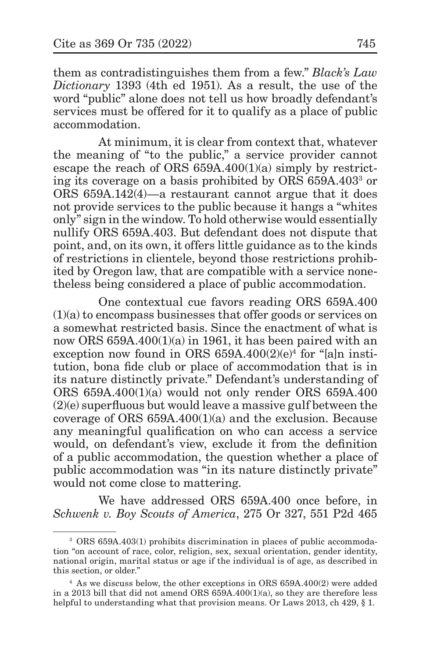them as contradistinguishes them from a few." *Black's Law Dictionary* 1393 (4th ed 1951). As a result, the use of the word "public" alone does not tell us how broadly defendant's services must be offered for it to qualify as a place of public accommodation.

At minimum, it is clear from context that, whatever the meaning of "to the public," a service provider cannot escape the reach of ORS  $659A.400(1)(a)$  simply by restricting its coverage on a basis prohibited by ORS 659A.403<sup>3</sup> or ORS 659A.142(4)—a restaurant cannot argue that it does not provide services to the public because it hangs a "whites only" sign in the window. To hold otherwise would essentially nullify ORS 659A.403. But defendant does not dispute that point, and, on its own, it offers little guidance as to the kinds of restrictions in clientele, beyond those restrictions prohibited by Oregon law, that are compatible with a service nonetheless being considered a place of public accommodation.

One contextual cue favors reading ORS 659A.400 (1)(a) to encompass businesses that offer goods or services on a somewhat restricted basis. Since the enactment of what is now ORS 659A.400(1)(a) in 1961, it has been paired with an exception now found in ORS 659A.400(2)(e)<sup>4</sup> for "[a]n institution, bona fide club or place of accommodation that is in its nature distinctly private." Defendant's understanding of ORS 659A.400(1)(a) would not only render ORS 659A.400 (2)(e) superfluous but would leave a massive gulf between the coverage of ORS 659A.400(1)(a) and the exclusion. Because any meaningful qualification on who can access a service would, on defendant's view, exclude it from the definition of a public accommodation, the question whether a place of public accommodation was "in its nature distinctly private" would not come close to mattering.

We have addressed ORS 659A.400 once before, in *Schwenk v. Boy Scouts of America*, 275 Or 327, 551 P2d 465

<sup>3</sup> ORS 659A.403(1) prohibits discrimination in places of public accommodation "on account of race, color, religion, sex, sexual orientation, gender identity, national origin, marital status or age if the individual is of age, as described in this section, or older."

<sup>4</sup> As we discuss below, the other exceptions in ORS 659A.400(2) were added in a 2013 bill that did not amend ORS 659A.400(1)(a), so they are therefore less helpful to understanding what that provision means. Or Laws 2013, ch 429, § 1.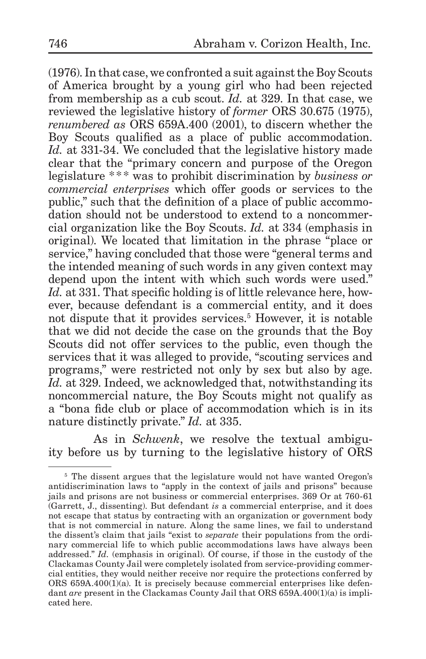(1976). In that case, we confronted a suit against the Boy Scouts of America brought by a young girl who had been rejected from membership as a cub scout. *Id.* at 329. In that case, we reviewed the legislative history of *former* ORS 30.675 (1975), *renumbered as* ORS 659A.400 (2001), to discern whether the Boy Scouts qualified as a place of public accommodation. *Id.* at 331-34. We concluded that the legislative history made clear that the "primary concern and purpose of the Oregon legislature \* \*\* was to prohibit discrimination by *business or commercial enterprises* which offer goods or services to the public," such that the definition of a place of public accommodation should not be understood to extend to a noncommercial organization like the Boy Scouts. *Id.* at 334 (emphasis in original). We located that limitation in the phrase "place or service," having concluded that those were "general terms and the intended meaning of such words in any given context may depend upon the intent with which such words were used." *Id.* at 331. That specific holding is of little relevance here, however, because defendant is a commercial entity, and it does not dispute that it provides services.<sup>5</sup> However, it is notable that we did not decide the case on the grounds that the Boy Scouts did not offer services to the public, even though the services that it was alleged to provide, "scouting services and programs," were restricted not only by sex but also by age. *Id.* at 329. Indeed, we acknowledged that, notwithstanding its noncommercial nature, the Boy Scouts might not qualify as a "bona fide club or place of accommodation which is in its nature distinctly private." *Id.* at 335.

As in *Schwenk*, we resolve the textual ambiguity before us by turning to the legislative history of ORS

<sup>&</sup>lt;sup>5</sup> The dissent argues that the legislature would not have wanted Oregon's antidiscrimination laws to "apply in the context of jails and prisons" because jails and prisons are not business or commercial enterprises. 369 Or at 760-61 (Garrett, J., dissenting). But defendant *is* a commercial enterprise, and it does not escape that status by contracting with an organization or government body that is not commercial in nature. Along the same lines, we fail to understand the dissent's claim that jails "exist to *separate* their populations from the ordinary commercial life to which public accommodations laws have always been addressed." *Id.* (emphasis in original). Of course, if those in the custody of the Clackamas County Jail were completely isolated from service-providing commercial entities, they would neither receive nor require the protections conferred by ORS 659A.400(1)(a). It is precisely because commercial enterprises like defendant *are* present in the Clackamas County Jail that ORS 659A.400(1)(a) is implicated here.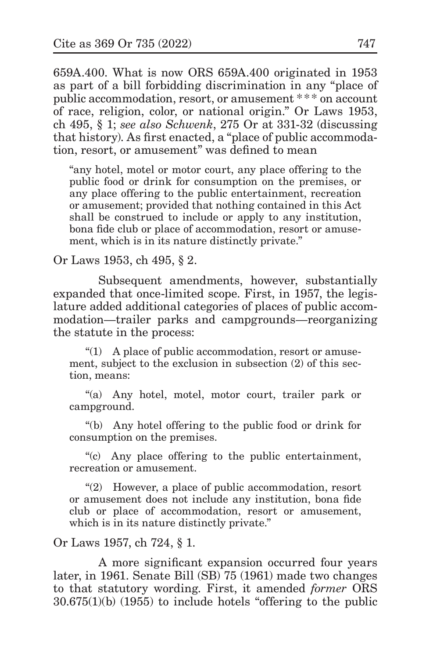659A.400. What is now ORS 659A.400 originated in 1953 as part of a bill forbidding discrimination in any "place of public accommodation, resort, or amusement \* \* \* on account of race, religion, color, or national origin." Or Laws 1953, ch 495, § 1; *see also Schwenk*, 275 Or at 331-32 (discussing that history). As first enacted, a "place of public accommodation, resort, or amusement" was defined to mean

"any hotel, motel or motor court, any place offering to the public food or drink for consumption on the premises, or any place offering to the public entertainment, recreation or amusement; provided that nothing contained in this Act shall be construed to include or apply to any institution, bona fide club or place of accommodation, resort or amusement, which is in its nature distinctly private."

Or Laws 1953, ch 495, § 2.

Subsequent amendments, however, substantially expanded that once-limited scope. First, in 1957, the legislature added additional categories of places of public accommodation—trailer parks and campgrounds—reorganizing the statute in the process:

"(1) A place of public accommodation, resort or amusement, subject to the exclusion in subsection (2) of this section, means:

"(a) Any hotel, motel, motor court, trailer park or campground.

"(b) Any hotel offering to the public food or drink for consumption on the premises.

"(c) Any place offering to the public entertainment, recreation or amusement.

"(2) However, a place of public accommodation, resort or amusement does not include any institution, bona fide club or place of accommodation, resort or amusement, which is in its nature distinctly private."

Or Laws 1957, ch 724, § 1.

A more significant expansion occurred four years later, in 1961. Senate Bill (SB) 75 (1961) made two changes to that statutory wording. First, it amended *former* ORS 30.675(1)(b) (1955) to include hotels "offering to the public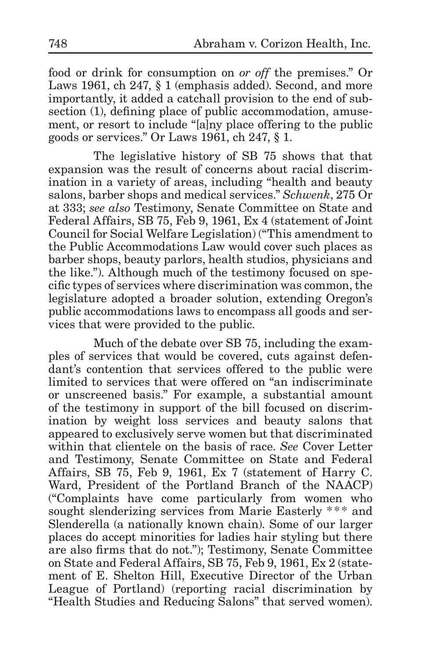food or drink for consumption on *or off* the premises." Or Laws 1961, ch 247, § 1 (emphasis added). Second, and more importantly, it added a catchall provision to the end of subsection (1), defining place of public accommodation, amusement, or resort to include "[a]ny place offering to the public goods or services." Or Laws 1961, ch 247, § 1.

The legislative history of SB 75 shows that that expansion was the result of concerns about racial discrimination in a variety of areas, including "health and beauty salons, barber shops and medical services." *Schwenk*, 275 Or at 333; *see also* Testimony, Senate Committee on State and Federal Affairs, SB 75, Feb 9, 1961, Ex 4 (statement of Joint Council for Social Welfare Legislation) ("This amendment to the Public Accommodations Law would cover such places as barber shops, beauty parlors, health studios, physicians and the like."). Although much of the testimony focused on specific types of services where discrimination was common, the legislature adopted a broader solution, extending Oregon's public accommodations laws to encompass all goods and services that were provided to the public.

Much of the debate over SB 75, including the examples of services that would be covered, cuts against defendant's contention that services offered to the public were limited to services that were offered on "an indiscriminate or unscreened basis." For example, a substantial amount of the testimony in support of the bill focused on discrimination by weight loss services and beauty salons that appeared to exclusively serve women but that discriminated within that clientele on the basis of race. *See* Cover Letter and Testimony, Senate Committee on State and Federal Affairs, SB 75, Feb 9, 1961, Ex 7 (statement of Harry C. Ward, President of the Portland Branch of the NAACP) ("Complaints have come particularly from women who sought slenderizing services from Marie Easterly \*\*\* and Slenderella (a nationally known chain). Some of our larger places do accept minorities for ladies hair styling but there are also firms that do not."); Testimony, Senate Committee on State and Federal Affairs, SB 75, Feb 9, 1961, Ex 2 (statement of E. Shelton Hill, Executive Director of the Urban League of Portland) (reporting racial discrimination by "Health Studies and Reducing Salons" that served women).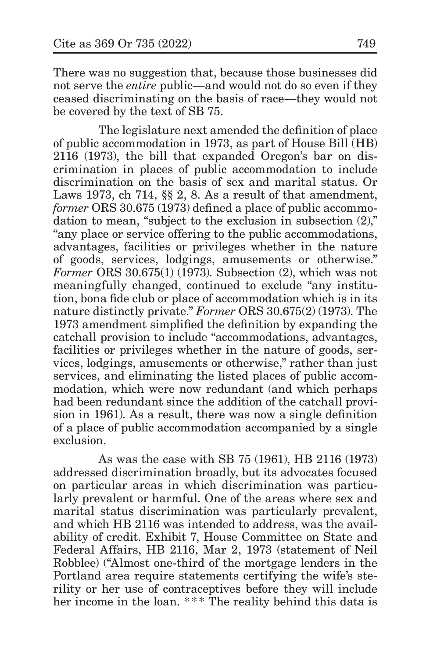There was no suggestion that, because those businesses did not serve the *entire* public—and would not do so even if they ceased discriminating on the basis of race—they would not be covered by the text of SB 75.

The legislature next amended the definition of place of public accommodation in 1973, as part of House Bill (HB) 2116 (1973), the bill that expanded Oregon's bar on discrimination in places of public accommodation to include discrimination on the basis of sex and marital status. Or Laws 1973, ch 714, §§ 2, 8. As a result of that amendment, *former* ORS 30.675 (1973) defined a place of public accommodation to mean, "subject to the exclusion in subsection (2)," "any place or service offering to the public accommodations, advantages, facilities or privileges whether in the nature of goods, services, lodgings, amusements or otherwise." *Former* ORS 30.675(1) (1973). Subsection (2), which was not meaningfully changed, continued to exclude "any institution, bona fide club or place of accommodation which is in its nature distinctly private." *Former* ORS 30.675(2) (1973). The 1973 amendment simplified the definition by expanding the catchall provision to include "accommodations, advantages, facilities or privileges whether in the nature of goods, services, lodgings, amusements or otherwise," rather than just services, and eliminating the listed places of public accommodation, which were now redundant (and which perhaps had been redundant since the addition of the catchall provision in 1961). As a result, there was now a single definition of a place of public accommodation accompanied by a single exclusion.

As was the case with SB 75 (1961), HB 2116 (1973) addressed discrimination broadly, but its advocates focused on particular areas in which discrimination was particularly prevalent or harmful. One of the areas where sex and marital status discrimination was particularly prevalent, and which HB 2116 was intended to address, was the availability of credit. Exhibit 7, House Committee on State and Federal Affairs, HB 2116, Mar 2, 1973 (statement of Neil Robblee) ("Almost one-third of the mortgage lenders in the Portland area require statements certifying the wife's sterility or her use of contraceptives before they will include her income in the loan. \*\*\* The reality behind this data is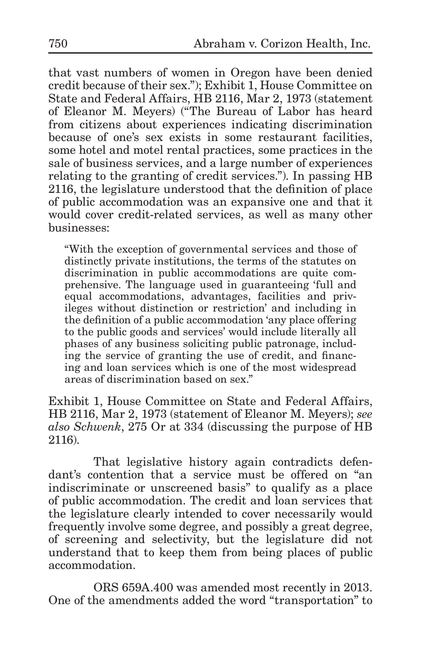that vast numbers of women in Oregon have been denied credit because of their sex."); Exhibit 1, House Committee on State and Federal Affairs, HB 2116, Mar 2, 1973 (statement of Eleanor M. Meyers) ("The Bureau of Labor has heard from citizens about experiences indicating discrimination because of one's sex exists in some restaurant facilities, some hotel and motel rental practices, some practices in the sale of business services, and a large number of experiences relating to the granting of credit services."). In passing HB 2116, the legislature understood that the definition of place of public accommodation was an expansive one and that it would cover credit-related services, as well as many other businesses:

"With the exception of governmental services and those of distinctly private institutions, the terms of the statutes on discrimination in public accommodations are quite comprehensive. The language used in guaranteeing 'full and equal accommodations, advantages, facilities and privileges without distinction or restriction' and including in the definition of a public accommodation 'any place offering to the public goods and services' would include literally all phases of any business soliciting public patronage, including the service of granting the use of credit, and financing and loan services which is one of the most widespread areas of discrimination based on sex."

Exhibit 1, House Committee on State and Federal Affairs, HB 2116, Mar 2, 1973 (statement of Eleanor M. Meyers); *see also Schwenk*, 275 Or at 334 (discussing the purpose of HB 2116).

That legislative history again contradicts defendant's contention that a service must be offered on "an indiscriminate or unscreened basis" to qualify as a place of public accommodation. The credit and loan services that the legislature clearly intended to cover necessarily would frequently involve some degree, and possibly a great degree, of screening and selectivity, but the legislature did not understand that to keep them from being places of public accommodation.

ORS 659A.400 was amended most recently in 2013. One of the amendments added the word "transportation" to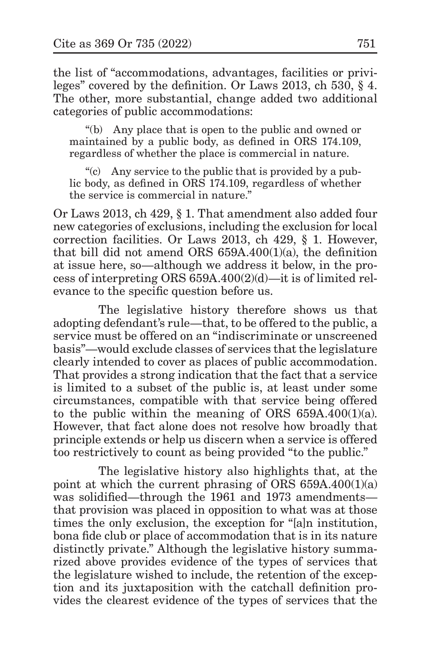the list of "accommodations, advantages, facilities or privileges" covered by the definition. Or Laws 2013, ch 530, § 4. The other, more substantial, change added two additional categories of public accommodations:

"(b) Any place that is open to the public and owned or maintained by a public body, as defined in ORS 174.109, regardless of whether the place is commercial in nature.

"(c) Any service to the public that is provided by a public body, as defined in ORS 174.109, regardless of whether the service is commercial in nature."

Or Laws 2013, ch 429, § 1. That amendment also added four new categories of exclusions, including the exclusion for local correction facilities. Or Laws 2013, ch 429, § 1. However, that bill did not amend ORS 659A.400(1)(a), the definition at issue here, so—although we address it below, in the process of interpreting ORS 659A.400(2)(d)—it is of limited relevance to the specific question before us.

The legislative history therefore shows us that adopting defendant's rule—that, to be offered to the public, a service must be offered on an "indiscriminate or unscreened basis"—would exclude classes of services that the legislature clearly intended to cover as places of public accommodation. That provides a strong indication that the fact that a service is limited to a subset of the public is, at least under some circumstances, compatible with that service being offered to the public within the meaning of ORS  $659A.400(1)(a)$ . However, that fact alone does not resolve how broadly that principle extends or help us discern when a service is offered too restrictively to count as being provided "to the public."

The legislative history also highlights that, at the point at which the current phrasing of ORS 659A.400(1)(a) was solidified—through the 1961 and 1973 amendments that provision was placed in opposition to what was at those times the only exclusion, the exception for "[a]n institution, bona fide club or place of accommodation that is in its nature distinctly private." Although the legislative history summarized above provides evidence of the types of services that the legislature wished to include, the retention of the exception and its juxtaposition with the catchall definition provides the clearest evidence of the types of services that the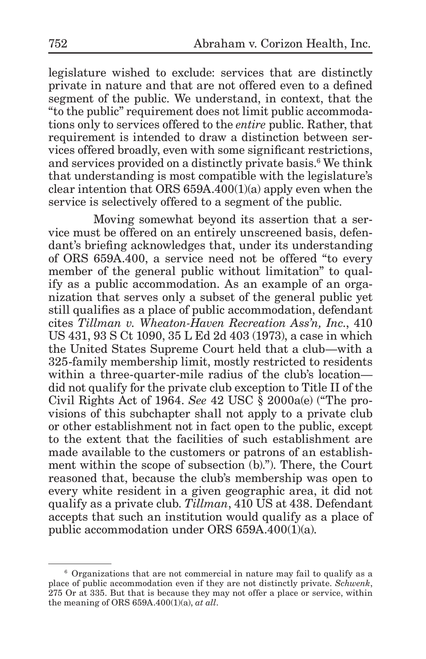legislature wished to exclude: services that are distinctly private in nature and that are not offered even to a defined segment of the public. We understand, in context, that the "to the public" requirement does not limit public accommodations only to services offered to the *entire* public. Rather, that requirement is intended to draw a distinction between services offered broadly, even with some significant restrictions, and services provided on a distinctly private basis.<sup>6</sup> We think that understanding is most compatible with the legislature's clear intention that ORS 659A.400(1)(a) apply even when the service is selectively offered to a segment of the public.

Moving somewhat beyond its assertion that a service must be offered on an entirely unscreened basis, defendant's briefing acknowledges that, under its understanding of ORS 659A.400, a service need not be offered "to every member of the general public without limitation" to qualify as a public accommodation. As an example of an organization that serves only a subset of the general public yet still qualifies as a place of public accommodation, defendant cites *Tillman v. Wheaton-Haven Recreation Ass'n, Inc.*, 410 US 431, 93 S Ct 1090, 35 L Ed 2d 403 (1973), a case in which the United States Supreme Court held that a club—with a 325-family membership limit, mostly restricted to residents within a three-quarter-mile radius of the club's location did not qualify for the private club exception to Title II of the Civil Rights Act of 1964. *See* 42 USC § 2000a(e) ("The provisions of this subchapter shall not apply to a private club or other establishment not in fact open to the public, except to the extent that the facilities of such establishment are made available to the customers or patrons of an establishment within the scope of subsection (b)."). There, the Court reasoned that, because the club's membership was open to every white resident in a given geographic area, it did not qualify as a private club. *Tillman*, 410 US at 438. Defendant accepts that such an institution would qualify as a place of public accommodation under ORS 659A.400(1)(a).

<sup>6</sup> Organizations that are not commercial in nature may fail to qualify as a place of public accommodation even if they are not distinctly private. *Schwenk*, 275 Or at 335. But that is because they may not offer a place or service, within the meaning of ORS 659A.400(1)(a), *at all*.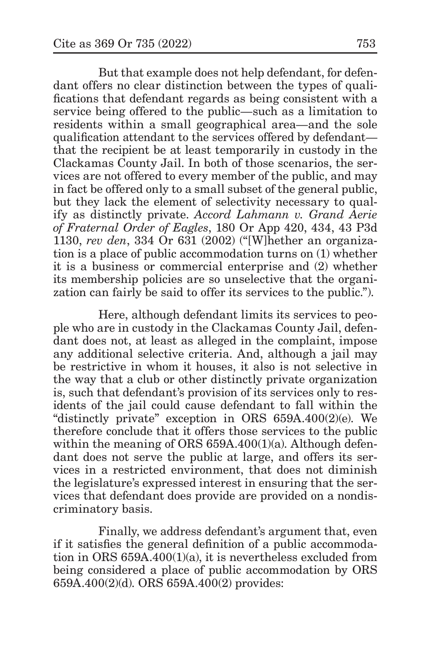But that example does not help defendant, for defendant offers no clear distinction between the types of qualifications that defendant regards as being consistent with a service being offered to the public—such as a limitation to residents within a small geographical area—and the sole qualification attendant to the services offered by defendant that the recipient be at least temporarily in custody in the Clackamas County Jail. In both of those scenarios, the services are not offered to every member of the public, and may in fact be offered only to a small subset of the general public, but they lack the element of selectivity necessary to qualify as distinctly private. *Accord Lahmann v. Grand Aerie of Fraternal Order of Eagles*, 180 Or App 420, 434, 43 P3d 1130, *rev den*, 334 Or 631 (2002) ("[W]hether an organization is a place of public accommodation turns on (1) whether it is a business or commercial enterprise and (2) whether its membership policies are so unselective that the organization can fairly be said to offer its services to the public.").

Here, although defendant limits its services to people who are in custody in the Clackamas County Jail, defendant does not, at least as alleged in the complaint, impose any additional selective criteria. And, although a jail may be restrictive in whom it houses, it also is not selective in the way that a club or other distinctly private organization is, such that defendant's provision of its services only to residents of the jail could cause defendant to fall within the "distinctly private" exception in ORS 659A.400(2)(e). We therefore conclude that it offers those services to the public within the meaning of ORS 659A.400(1)(a). Although defendant does not serve the public at large, and offers its services in a restricted environment, that does not diminish the legislature's expressed interest in ensuring that the services that defendant does provide are provided on a nondiscriminatory basis.

Finally, we address defendant's argument that, even if it satisfies the general definition of a public accommodation in ORS 659A.400(1)(a), it is nevertheless excluded from being considered a place of public accommodation by ORS 659A.400(2)(d). ORS 659A.400(2) provides: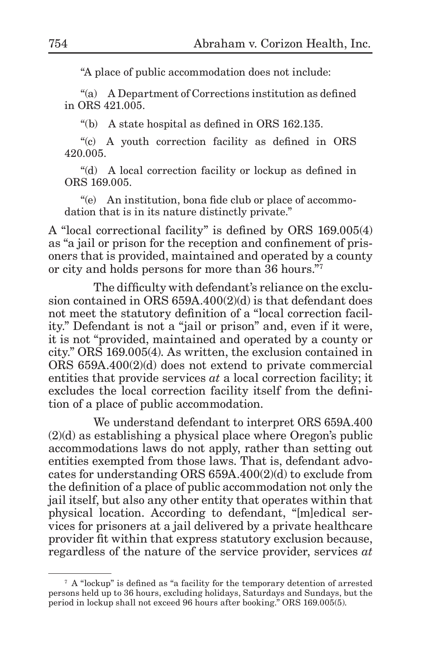"A place of public accommodation does not include:

"(a) A Department of Corrections institution as defined in ORS 421.005.

"(b) A state hospital as defined in ORS 162.135.

"(c) A youth correction facility as defined in ORS 420.005.

"(d) A local correction facility or lockup as defined in ORS 169.005.

"(e) An institution, bona fide club or place of accommodation that is in its nature distinctly private."

A "local correctional facility" is defined by ORS 169.005(4) as "a jail or prison for the reception and confinement of prisoners that is provided, maintained and operated by a county or city and holds persons for more than 36 hours."7

The difficulty with defendant's reliance on the exclusion contained in ORS 659A.400(2)(d) is that defendant does not meet the statutory definition of a "local correction facility." Defendant is not a "jail or prison" and, even if it were, it is not "provided, maintained and operated by a county or city." ORS 169.005(4). As written, the exclusion contained in ORS 659A.400(2)(d) does not extend to private commercial entities that provide services *at* a local correction facility; it excludes the local correction facility itself from the definition of a place of public accommodation.

We understand defendant to interpret ORS 659A.400 (2)(d) as establishing a physical place where Oregon's public accommodations laws do not apply, rather than setting out entities exempted from those laws. That is, defendant advocates for understanding ORS 659A.400(2)(d) to exclude from the definition of a place of public accommodation not only the jail itself, but also any other entity that operates within that physical location. According to defendant, "[m]edical services for prisoners at a jail delivered by a private healthcare provider fit within that express statutory exclusion because, regardless of the nature of the service provider, services *at*

<sup>7</sup> A "lockup" is defined as "a facility for the temporary detention of arrested persons held up to 36 hours, excluding holidays, Saturdays and Sundays, but the period in lockup shall not exceed 96 hours after booking." ORS 169.005(5).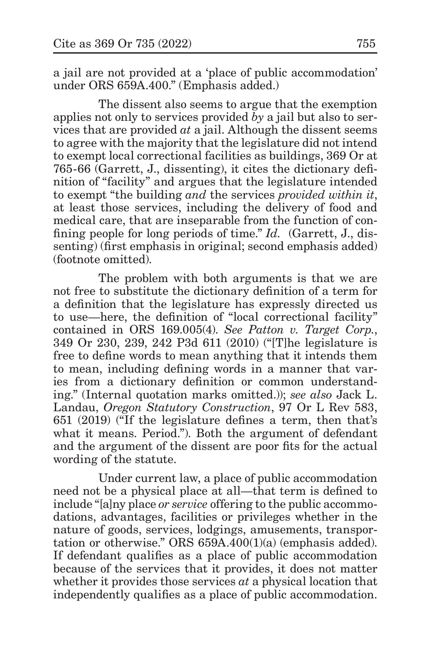a jail are not provided at a 'place of public accommodation' under ORS 659A.400." (Emphasis added.)

The dissent also seems to argue that the exemption applies not only to services provided *by* a jail but also to services that are provided *at* a jail. Although the dissent seems to agree with the majority that the legislature did not intend to exempt local correctional facilities as buildings, 369 Or at 765-66 (Garrett, J., dissenting), it cites the dictionary definition of "facility" and argues that the legislature intended to exempt "the building *and* the services *provided within it*, at least those services, including the delivery of food and medical care, that are inseparable from the function of confining people for long periods of time." *Id.* (Garrett, J., dissenting) (first emphasis in original; second emphasis added) (footnote omitted).

The problem with both arguments is that we are not free to substitute the dictionary definition of a term for a definition that the legislature has expressly directed us to use—here, the definition of "local correctional facility" contained in ORS 169.005(4). *See Patton v. Target Corp.*, 349 Or 230, 239, 242 P3d 611 (2010) ("[T]he legislature is free to define words to mean anything that it intends them to mean, including defining words in a manner that varies from a dictionary definition or common understanding." (Internal quotation marks omitted.)); *see also* Jack L. Landau, *Oregon Statutory Construction*, 97 Or L Rev 583, 651 (2019) ("If the legislature defines a term, then that's what it means. Period."). Both the argument of defendant and the argument of the dissent are poor fits for the actual wording of the statute.

Under current law, a place of public accommodation need not be a physical place at all—that term is defined to include "[a]ny place *or service* offering to the public accommodations, advantages, facilities or privileges whether in the nature of goods, services, lodgings, amusements, transportation or otherwise." ORS 659A.400(1)(a) (emphasis added). If defendant qualifies as a place of public accommodation because of the services that it provides, it does not matter whether it provides those services *at* a physical location that independently qualifies as a place of public accommodation.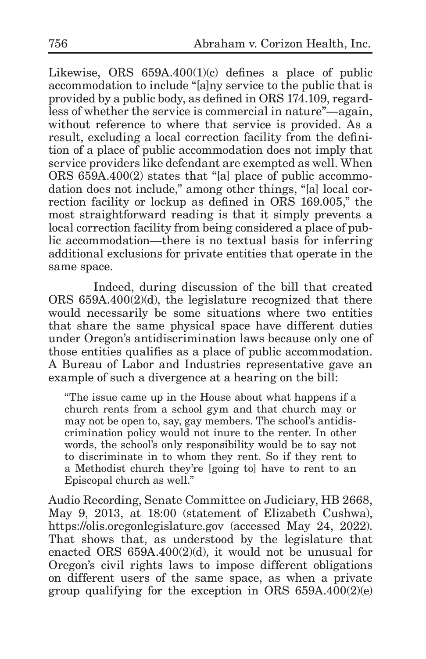Likewise, ORS  $659A.400(1)(c)$  defines a place of public accommodation to include "[a]ny service to the public that is provided by a public body, as defined in ORS 174.109, regardless of whether the service is commercial in nature"—again, without reference to where that service is provided. As a result, excluding a local correction facility from the definition of a place of public accommodation does not imply that service providers like defendant are exempted as well. When ORS 659A.400(2) states that "[a] place of public accommodation does not include," among other things, "[a] local correction facility or lockup as defined in ORS 169.005," the most straightforward reading is that it simply prevents a local correction facility from being considered a place of public accommodation—there is no textual basis for inferring additional exclusions for private entities that operate in the same space.

Indeed, during discussion of the bill that created ORS  $659A.400(2)(d)$ , the legislature recognized that there would necessarily be some situations where two entities that share the same physical space have different duties under Oregon's antidiscrimination laws because only one of those entities qualifies as a place of public accommodation. A Bureau of Labor and Industries representative gave an example of such a divergence at a hearing on the bill:

"The issue came up in the House about what happens if a church rents from a school gym and that church may or may not be open to, say, gay members. The school's antidiscrimination policy would not inure to the renter. In other words, the school's only responsibility would be to say not to discriminate in to whom they rent. So if they rent to a Methodist church they're [going to] have to rent to an Episcopal church as well."

Audio Recording, Senate Committee on Judiciary, HB 2668, May 9, 2013, at 18:00 (statement of Elizabeth Cushwa), https://olis.oregonlegislature.gov (accessed May 24, 2022). That shows that, as understood by the legislature that enacted ORS 659A.400(2)(d), it would not be unusual for Oregon's civil rights laws to impose different obligations on different users of the same space, as when a private group qualifying for the exception in ORS 659A.400(2)(e)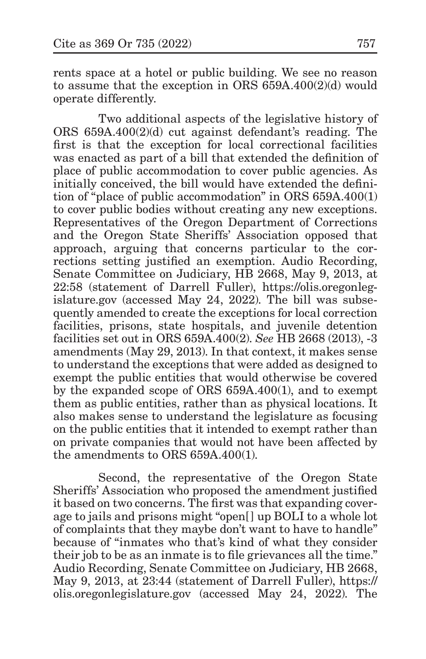rents space at a hotel or public building. We see no reason to assume that the exception in ORS 659A.400(2)(d) would operate differently.

Two additional aspects of the legislative history of ORS 659A.400(2)(d) cut against defendant's reading. The first is that the exception for local correctional facilities was enacted as part of a bill that extended the definition of place of public accommodation to cover public agencies. As initially conceived, the bill would have extended the definition of "place of public accommodation" in ORS 659A.400(1) to cover public bodies without creating any new exceptions. Representatives of the Oregon Department of Corrections and the Oregon State Sheriffs' Association opposed that approach, arguing that concerns particular to the corrections setting justified an exemption. Audio Recording, Senate Committee on Judiciary, HB 2668, May 9, 2013, at 22:58 (statement of Darrell Fuller), https://olis.oregonlegislature.gov (accessed May 24, 2022). The bill was subsequently amended to create the exceptions for local correction facilities, prisons, state hospitals, and juvenile detention facilities set out in ORS 659A.400(2). *See* HB 2668 (2013), -3 amendments (May 29, 2013). In that context, it makes sense to understand the exceptions that were added as designed to exempt the public entities that would otherwise be covered by the expanded scope of ORS 659A.400(1), and to exempt them as public entities, rather than as physical locations. It also makes sense to understand the legislature as focusing on the public entities that it intended to exempt rather than on private companies that would not have been affected by the amendments to ORS 659A.400(1).

Second, the representative of the Oregon State Sheriffs' Association who proposed the amendment justified it based on two concerns. The first was that expanding coverage to jails and prisons might "open[] up BOLI to a whole lot of complaints that they maybe don't want to have to handle" because of "inmates who that's kind of what they consider their job to be as an inmate is to file grievances all the time." Audio Recording, Senate Committee on Judiciary, HB 2668, May 9, 2013, at 23:44 (statement of Darrell Fuller), https:// olis.oregonlegislature.gov (accessed May 24, 2022). The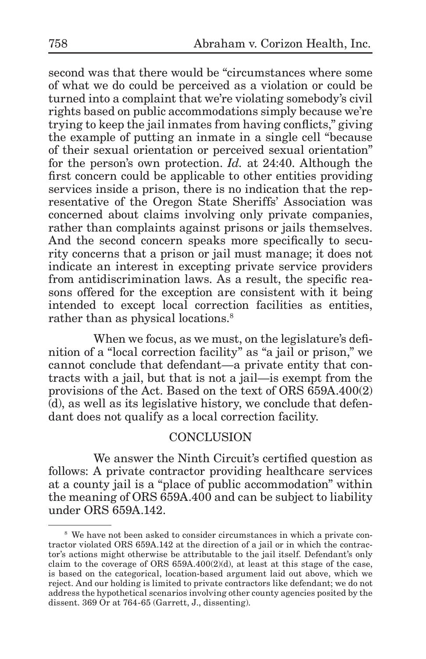second was that there would be "circumstances where some of what we do could be perceived as a violation or could be turned into a complaint that we're violating somebody's civil rights based on public accommodations simply because we're trying to keep the jail inmates from having conflicts," giving the example of putting an inmate in a single cell "because of their sexual orientation or perceived sexual orientation" for the person's own protection. *Id.* at 24:40. Although the first concern could be applicable to other entities providing services inside a prison, there is no indication that the representative of the Oregon State Sheriffs' Association was concerned about claims involving only private companies, rather than complaints against prisons or jails themselves. And the second concern speaks more specifically to security concerns that a prison or jail must manage; it does not indicate an interest in excepting private service providers from antidiscrimination laws. As a result, the specific reasons offered for the exception are consistent with it being intended to except local correction facilities as entities, rather than as physical locations.<sup>8</sup>

When we focus, as we must, on the legislature's definition of a "local correction facility" as "a jail or prison," we cannot conclude that defendant—a private entity that contracts with a jail, but that is not a jail—is exempt from the provisions of the Act. Based on the text of ORS 659A.400(2) (d), as well as its legislative history, we conclude that defendant does not qualify as a local correction facility.

# **CONCLUSION**

We answer the Ninth Circuit's certified question as follows: A private contractor providing healthcare services at a county jail is a "place of public accommodation" within the meaning of ORS 659A.400 and can be subject to liability under ORS 659A.142.

<sup>&</sup>lt;sup>8</sup> We have not been asked to consider circumstances in which a private contractor violated ORS 659A.142 at the direction of a jail or in which the contractor's actions might otherwise be attributable to the jail itself. Defendant's only claim to the coverage of ORS  $659A.400(2)(d)$ , at least at this stage of the case, is based on the categorical, location-based argument laid out above, which we reject. And our holding is limited to private contractors like defendant; we do not address the hypothetical scenarios involving other county agencies posited by the dissent. 369 Or at 764-65 (Garrett, J., dissenting).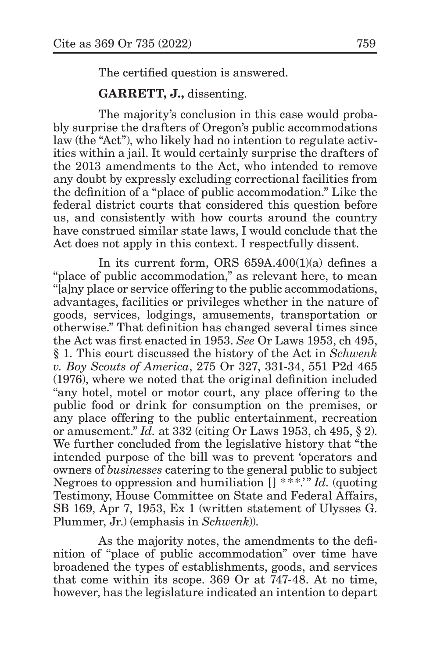The certified question is answered.

**GARRETT, J.,** dissenting.

The majority's conclusion in this case would probably surprise the drafters of Oregon's public accommodations law (the "Act"), who likely had no intention to regulate activities within a jail. It would certainly surprise the drafters of the 2013 amendments to the Act, who intended to remove any doubt by expressly excluding correctional facilities from the definition of a "place of public accommodation." Like the federal district courts that considered this question before us, and consistently with how courts around the country have construed similar state laws, I would conclude that the Act does not apply in this context. I respectfully dissent.

In its current form, ORS 659A.400(1)(a) defines a "place of public accommodation," as relevant here, to mean "[a]ny place or service offering to the public accommodations, advantages, facilities or privileges whether in the nature of goods, services, lodgings, amusements, transportation or otherwise." That definition has changed several times since the Act was first enacted in 1953. *See* Or Laws 1953, ch 495, § 1. This court discussed the history of the Act in *Schwenk v. Boy Scouts of America*, 275 Or 327, 331-34, 551 P2d 465 (1976), where we noted that the original definition included "any hotel, motel or motor court, any place offering to the public food or drink for consumption on the premises, or any place offering to the public entertainment, recreation or amusement." *Id.* at 332 (citing Or Laws 1953, ch 495, § 2). We further concluded from the legislative history that "the intended purpose of the bill was to prevent 'operators and owners of *businesses* catering to the general public to subject Negroes to oppression and humiliation [] \*\*\*.'" *Id.* (quoting Testimony, House Committee on State and Federal Affairs, SB 169, Apr 7, 1953, Ex 1 (written statement of Ulysses G. Plummer, Jr.) (emphasis in *Schwenk*)).

As the majority notes, the amendments to the definition of "place of public accommodation" over time have broadened the types of establishments, goods, and services that come within its scope. 369 Or at 747-48. At no time, however, has the legislature indicated an intention to depart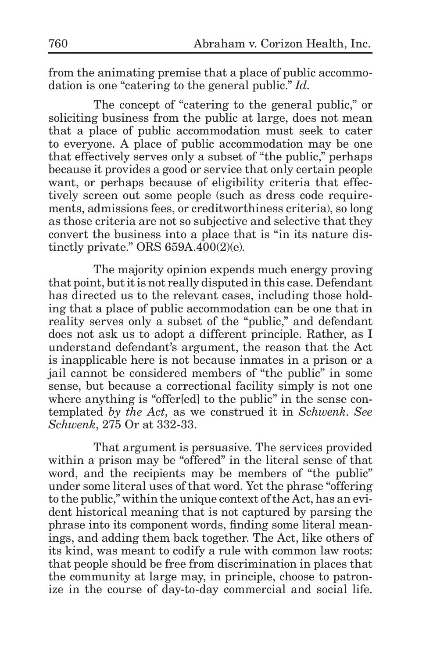from the animating premise that a place of public accommodation is one "catering to the general public." *Id.*

The concept of "catering to the general public," or soliciting business from the public at large, does not mean that a place of public accommodation must seek to cater to everyone. A place of public accommodation may be one that effectively serves only a subset of "the public," perhaps because it provides a good or service that only certain people want, or perhaps because of eligibility criteria that effectively screen out some people (such as dress code requirements, admissions fees, or creditworthiness criteria), so long as those criteria are not so subjective and selective that they convert the business into a place that is "in its nature distinctly private." ORS 659A.400(2)(e).

The majority opinion expends much energy proving that point, but it is not really disputed in this case. Defendant has directed us to the relevant cases, including those holding that a place of public accommodation can be one that in reality serves only a subset of the "public," and defendant does not ask us to adopt a different principle. Rather, as I understand defendant's argument, the reason that the Act is inapplicable here is not because inmates in a prison or a jail cannot be considered members of "the public" in some sense, but because a correctional facility simply is not one where anything is "offer[ed] to the public" in the sense contemplated *by the Act*, as we construed it in *Schwenk*. *See Schwenk*, 275 Or at 332-33.

That argument is persuasive. The services provided within a prison may be "offered" in the literal sense of that word, and the recipients may be members of "the public" under some literal uses of that word. Yet the phrase "offering to the public," within the unique context of the Act, has an evident historical meaning that is not captured by parsing the phrase into its component words, finding some literal meanings, and adding them back together. The Act, like others of its kind, was meant to codify a rule with common law roots: that people should be free from discrimination in places that the community at large may, in principle, choose to patronize in the course of day-to-day commercial and social life.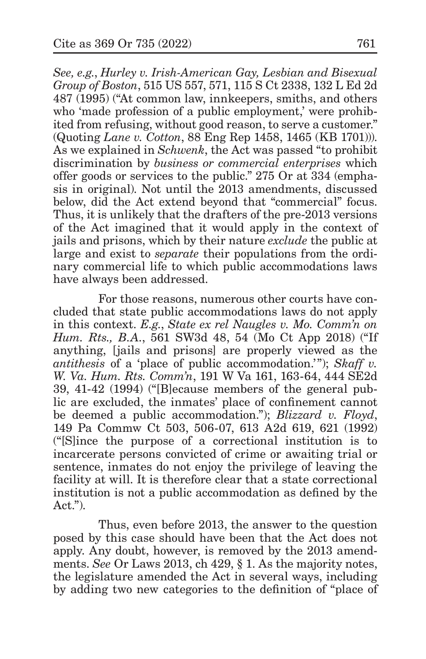*See, e.g.*, *Hurley v. Irish-American Gay, Lesbian and Bisexual Group of Boston*, 515 US 557, 571, 115 S Ct 2338, 132 L Ed 2d 487 (1995) ("At common law, innkeepers, smiths, and others who 'made profession of a public employment,' were prohibited from refusing, without good reason, to serve a customer." (Quoting *Lane v. Cotton*, 88 Eng Rep 1458, 1465 (KB 1701))). As we explained in *Schwenk*, the Act was passed "to prohibit discrimination by *business or commercial enterprises* which offer goods or services to the public." 275 Or at 334 (emphasis in original). Not until the 2013 amendments, discussed below, did the Act extend beyond that "commercial" focus. Thus, it is unlikely that the drafters of the pre-2013 versions of the Act imagined that it would apply in the context of jails and prisons, which by their nature *exclude* the public at large and exist to *separate* their populations from the ordinary commercial life to which public accommodations laws have always been addressed.

For those reasons, numerous other courts have concluded that state public accommodations laws do not apply in this context. *E.g.*, *State ex rel Naugles v. Mo. Comm'n on Hum. Rts., B.A.*, 561 SW3d 48, 54 (Mo Ct App 2018) ("If anything, [jails and prisons] are properly viewed as the *antithesis* of a 'place of public accommodation.'"); *Skaff v. W. Va. Hum. Rts. Comm'n*, 191 W Va 161, 163-64, 444 SE2d 39, 41-42 (1994) ("[B]ecause members of the general public are excluded, the inmates' place of confinement cannot be deemed a public accommodation."); *Blizzard v. Floyd*, 149 Pa Commw Ct 503, 506-07, 613 A2d 619, 621 (1992) ("[S]ince the purpose of a correctional institution is to incarcerate persons convicted of crime or awaiting trial or sentence, inmates do not enjoy the privilege of leaving the facility at will. It is therefore clear that a state correctional institution is not a public accommodation as defined by the Act.").

Thus, even before 2013, the answer to the question posed by this case should have been that the Act does not apply. Any doubt, however, is removed by the 2013 amendments. *See* Or Laws 2013, ch 429, § 1. As the majority notes, the legislature amended the Act in several ways, including by adding two new categories to the definition of "place of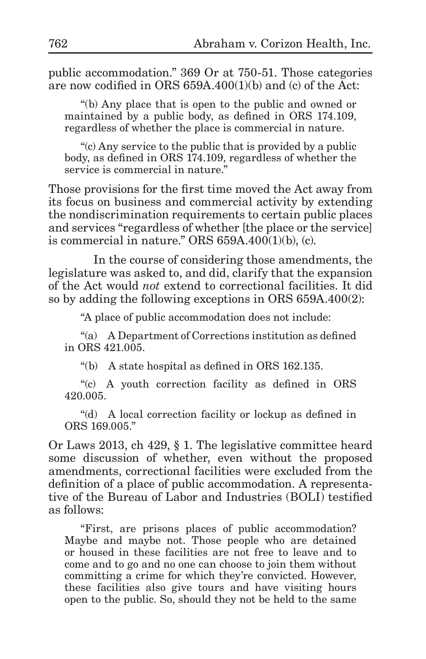public accommodation." 369 Or at 750-51. Those categories are now codified in ORS 659A.400(1)(b) and (c) of the Act:

"(b) Any place that is open to the public and owned or maintained by a public body, as defined in ORS 174.109, regardless of whether the place is commercial in nature.

"(c) Any service to the public that is provided by a public body, as defined in ORS 174.109, regardless of whether the service is commercial in nature."

Those provisions for the first time moved the Act away from its focus on business and commercial activity by extending the nondiscrimination requirements to certain public places and services "regardless of whether [the place or the service] is commercial in nature." ORS 659A.400(1)(b), (c).

In the course of considering those amendments, the legislature was asked to, and did, clarify that the expansion of the Act would *not* extend to correctional facilities. It did so by adding the following exceptions in ORS 659A.400(2):

"A place of public accommodation does not include:

"(a) A Department of Corrections institution as defined in ORS 421.005.

"(b) A state hospital as defined in ORS 162.135.

"(c) A youth correction facility as defined in ORS 420.005.

"(d) A local correction facility or lockup as defined in ORS 169.005."

Or Laws 2013, ch 429, § 1. The legislative committee heard some discussion of whether, even without the proposed amendments, correctional facilities were excluded from the definition of a place of public accommodation. A representative of the Bureau of Labor and Industries (BOLI) testified as follows:

"First, are prisons places of public accommodation? Maybe and maybe not. Those people who are detained or housed in these facilities are not free to leave and to come and to go and no one can choose to join them without committing a crime for which they're convicted. However, these facilities also give tours and have visiting hours open to the public. So, should they not be held to the same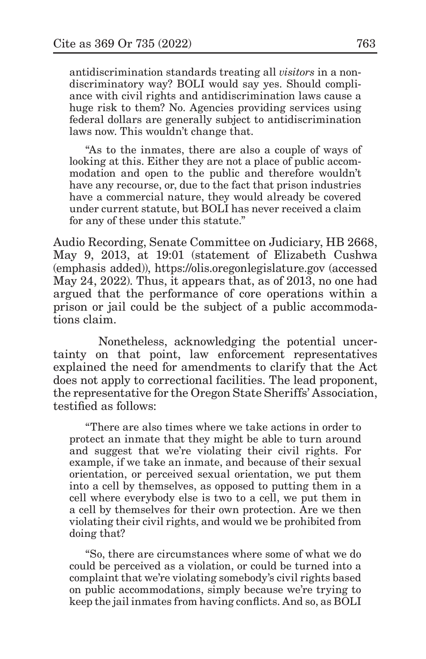antidiscrimination standards treating all *visitors* in a nondiscriminatory way? BOLI would say yes. Should compliance with civil rights and antidiscrimination laws cause a huge risk to them? No. Agencies providing services using federal dollars are generally subject to antidiscrimination laws now. This wouldn't change that.

"As to the inmates, there are also a couple of ways of looking at this. Either they are not a place of public accommodation and open to the public and therefore wouldn't have any recourse, or, due to the fact that prison industries have a commercial nature, they would already be covered under current statute, but BOLI has never received a claim for any of these under this statute."

Audio Recording, Senate Committee on Judiciary, HB 2668, May 9, 2013, at 19:01 (statement of Elizabeth Cushwa (emphasis added)), https://olis.oregonlegislature.gov (accessed May 24, 2022). Thus, it appears that, as of 2013, no one had argued that the performance of core operations within a prison or jail could be the subject of a public accommodations claim.

Nonetheless, acknowledging the potential uncertainty on that point, law enforcement representatives explained the need for amendments to clarify that the Act does not apply to correctional facilities. The lead proponent, the representative for the Oregon State Sheriffs' Association, testified as follows:

"There are also times where we take actions in order to protect an inmate that they might be able to turn around and suggest that we're violating their civil rights. For example, if we take an inmate, and because of their sexual orientation, or perceived sexual orientation, we put them into a cell by themselves, as opposed to putting them in a cell where everybody else is two to a cell, we put them in a cell by themselves for their own protection. Are we then violating their civil rights, and would we be prohibited from doing that?

"So, there are circumstances where some of what we do could be perceived as a violation, or could be turned into a complaint that we're violating somebody's civil rights based on public accommodations, simply because we're trying to keep the jail inmates from having conflicts. And so, as BOLI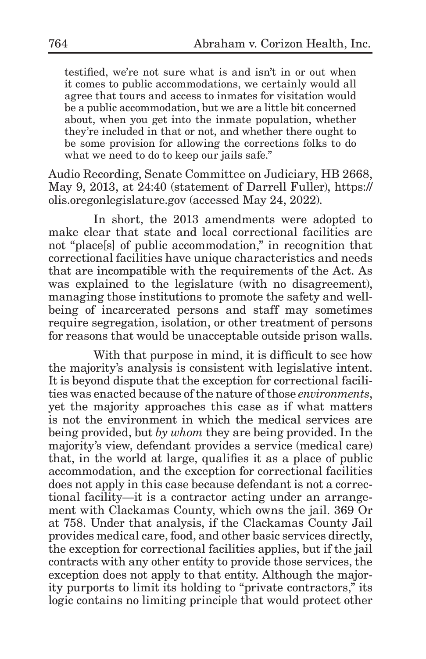testified, we're not sure what is and isn't in or out when it comes to public accommodations, we certainly would all agree that tours and access to inmates for visitation would be a public accommodation, but we are a little bit concerned about, when you get into the inmate population, whether they're included in that or not, and whether there ought to be some provision for allowing the corrections folks to do what we need to do to keep our jails safe."

Audio Recording, Senate Committee on Judiciary, HB 2668, May 9, 2013, at 24:40 (statement of Darrell Fuller), https:// olis.oregonlegislature.gov (accessed May 24, 2022).

In short, the 2013 amendments were adopted to make clear that state and local correctional facilities are not "place[s] of public accommodation," in recognition that correctional facilities have unique characteristics and needs that are incompatible with the requirements of the Act. As was explained to the legislature (with no disagreement), managing those institutions to promote the safety and wellbeing of incarcerated persons and staff may sometimes require segregation, isolation, or other treatment of persons for reasons that would be unacceptable outside prison walls.

With that purpose in mind, it is difficult to see how the majority's analysis is consistent with legislative intent. It is beyond dispute that the exception for correctional facilities was enacted because of the nature of those *environments*, yet the majority approaches this case as if what matters is not the environment in which the medical services are being provided, but *by whom* they are being provided. In the majority's view, defendant provides a service (medical care) that, in the world at large, qualifies it as a place of public accommodation, and the exception for correctional facilities does not apply in this case because defendant is not a correctional facility—it is a contractor acting under an arrangement with Clackamas County, which owns the jail. 369 Or at 758. Under that analysis, if the Clackamas County Jail provides medical care, food, and other basic services directly, the exception for correctional facilities applies, but if the jail contracts with any other entity to provide those services, the exception does not apply to that entity. Although the majority purports to limit its holding to "private contractors," its logic contains no limiting principle that would protect other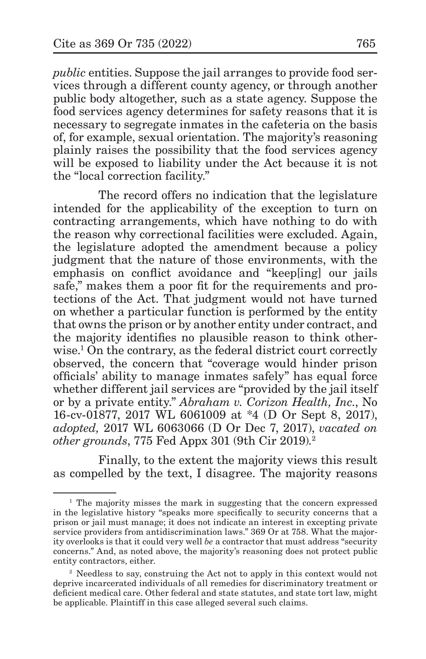*public* entities. Suppose the jail arranges to provide food services through a different county agency, or through another public body altogether, such as a state agency. Suppose the food services agency determines for safety reasons that it is necessary to segregate inmates in the cafeteria on the basis of, for example, sexual orientation. The majority's reasoning plainly raises the possibility that the food services agency will be exposed to liability under the Act because it is not the "local correction facility."

The record offers no indication that the legislature intended for the applicability of the exception to turn on contracting arrangements, which have nothing to do with the reason why correctional facilities were excluded. Again, the legislature adopted the amendment because a policy judgment that the nature of those environments, with the emphasis on conflict avoidance and "keep[ing] our jails safe," makes them a poor fit for the requirements and protections of the Act. That judgment would not have turned on whether a particular function is performed by the entity that owns the prison or by another entity under contract, and the majority identifies no plausible reason to think otherwise.1 On the contrary, as the federal district court correctly observed, the concern that "coverage would hinder prison officials' ability to manage inmates safely" has equal force whether different jail services are "provided by the jail itself or by a private entity." *Abraham v. Corizon Health, Inc.*, No 16-cv-01877, 2017 WL 6061009 at \*4 (D Or Sept 8, 2017), *adopted,* 2017 WL 6063066 (D Or Dec 7, 2017), *vacated on other grounds*, 775 Fed Appx 301 (9th Cir 2019).2

Finally, to the extent the majority views this result as compelled by the text, I disagree. The majority reasons

<sup>1</sup> The majority misses the mark in suggesting that the concern expressed in the legislative history "speaks more specifically to security concerns that a prison or jail must manage; it does not indicate an interest in excepting private service providers from antidiscrimination laws." 369 Or at 758. What the majority overlooks is that it could very well *be* a contractor that must address "security concerns." And, as noted above, the majority's reasoning does not protect public entity contractors, either.

<sup>&</sup>lt;sup>2</sup> Needless to say, construing the Act not to apply in this context would not deprive incarcerated individuals of all remedies for discriminatory treatment or deficient medical care. Other federal and state statutes, and state tort law, might be applicable. Plaintiff in this case alleged several such claims.